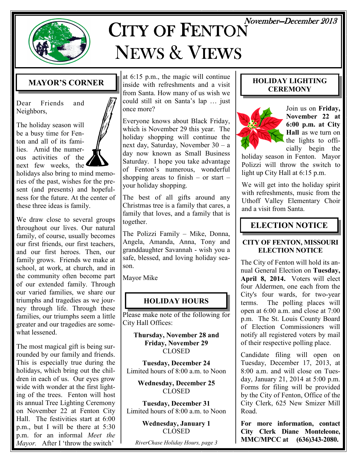

# $CITY$  OF  $FENTON$  November-December 2013 NEWS & VIEWS

#### MAYOR'S CORNER

Dear Friends and Neighbors,

The holiday season will be a busy time for Fenton and all of its families. Amid the numerous activities of the next few weeks, the

holidays also bring to mind memories of the past, wishes for the present (and presents) and hopefulness for the future. At the center of these three ideas is family.

We draw close to several groups throughout our lives. Our natural family, of course, usually becomes our first friends, our first teachers, and our first heroes. Then, our family grows. Friends we make at school, at work, at church, and in the community often become part of our extended family. Through our varied families, we share our triumphs and tragedies as we journey through life. Through these families, our triumphs seem a little greater and our tragedies are somewhat lessened.

The most magical gift is being surrounded by our family and friends. This is especially true during the holidays, which bring out the children in each of us. Our eyes grow wide with wonder at the first lighting of the trees. Fenton will host its annual Tree Lighting Ceremony on November 22 at Fenton City Hall. The festivities start at 6:00 p.m., but I will be there at 5:30 p.m. for an informal Meet the Mayor. After I 'throw the switch'

at 6:15 p.m., the magic will continue inside with refreshments and a visit from Santa. How many of us wish we could still sit on Santa's lap … just once more?

Everyone knows about Black Friday, which is November 29 this year. The holiday shopping will continue the next day, Saturday, November 30 – a day now known as Small Business Saturday. I hope you take advantage of Fenton's numerous, wonderful shopping areas to finish – or start – your holiday shopping.

The best of all gifts around any Christmas tree is a family that cares, a family that loves, and a family that is together.

The Polizzi Family – Mike, Donna, Angela, Amanda, Anna, Tony and granddaughter Savannah - wish you a safe, blessed, and loving holiday season.

Mayor Mike

### HOLIDAY HOURS

Please make note of the following for City Hall Offices:

Thursday, November 28 and Friday, November 29 CLOSED

Tuesday, December 24 Limited hours of 8:00 a.m. to Noon

> Wednesday, December 25 CLOSED

Tuesday, December 31 Limited hours of 8:00 a.m. to Noon

> Wednesday, January 1 **CLOSED**

RiverChase Holiday Hours, page 3

#### HOLIDAY LIGHTING **CEREMONY**



Join us on Friday, November 22 at 6:00 p.m. at City Hall as we turn on the lights to officially begin the

holiday season in Fenton. Mayor Polizzi will throw the switch to light up City Hall at 6:15 p.m.

We will get into the holiday spirit with refreshments, music from the Uthoff Valley Elementary Choir and a visit from Santa.

### ELECTION NOTICE

#### CITY OF FENTON, MISSOURI ELECTION NOTICE

The City of Fenton will hold its annual General Election on Tuesday, April 8, 2014. Voters will elect four Aldermen, one each from the City's four wards, for two-year terms. The polling places will open at 6:00 a.m. and close at 7:00 p.m. The St. Louis County Board of Election Commissioners will notify all registered voters by mail of their respective polling place.

Candidate filing will open on Tuesday, December 17, 2013, at 8:00 a.m. and will close on Tuesday, January 21, 2014 at 5:00 p.m. Forms for filing will be provided by the City of Fenton, Office of the City Clerk, 625 New Smizer Mill Road.

For more information, contact City Clerk Diane Monteleone, MMC/MPCC at (636)343-2080.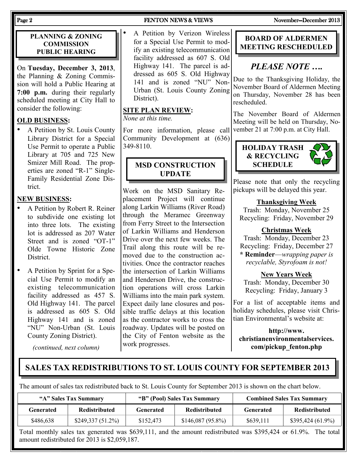#### PLANNING & ZONING **COMMISSION** PUBLIC HEARING

On Tuesday, December 3, 2013, the Planning & Zoning Commission will hold a Public Hearing at 7:00 p.m. during their regularly scheduled meeting at City Hall to consider the following:

#### OLD BUSINESS:

• A Petition by St. Louis County Library District for a Special Use Permit to operate a Public Library at 705 and 725 New Smizer Mill Road. The properties are zoned "R-1" Single-Family Residential Zone District.

#### NEW BUSINESS:

- A Petition by Robert R. Reiner to subdivide one existing lot into three lots. The existing lot is addressed as 207 Water Street and is zoned "OT-1" Olde Towne Historic Zone District.
- A Petition by Sprint for a Special Use Permit to modify an existing telecommunication facility addressed as 457 S. Old Highway 141. The parcel is addressed as 605 S. Old Highway 141 and is zoned "NU" Non-Urban (St. Louis County Zoning District).

(continued, next column)

#### Page 2 FENTON NEWS & VIEWS November-December 2013

#### A Petition by Verizon Wireless for a Special Use Permit to modify an existing telecommunication facility addressed as 607 S. Old Highway 141. The parcel is addressed as 605 S. Old Highway 141 and is zoned "NU" Non-Urban (St. Louis County Zoning District).

#### SITE PLAN REVIEW:

None at this time.

For more information, please call Community Development at (636) 349-8110.

#### MSD CONSTRUCTION UPDATE

Work on the MSD Sanitary Replacement Project will continue along Larkin Williams (River Road) through the Meramec Greenway from Ferry Street to the Intersection of Larkin Williams and Henderson Drive over the next few weeks. The Trail along this route will be removed due to the construction activities. Once the contractor reaches the intersection of Larkin Williams and Henderson Drive, the construction operations will cross Larkin Williams into the main park system. Expect daily lane closures and possible traffic delays at this location as the contractor works to cross the roadway. Updates will be posted on the City of Fenton website as the work progresses.

#### BOARD OF ALDERMEN MEETING RESCHEDULED

### PLEASE NOTE ….

Due to the Thanksgiving Holiday, the November Board of Aldermen Meeting on Thursday, November 28 has been rescheduled.

The November Board of Aldermen Meeting will be held on Thursday, November 21 at 7:00 p.m. at City Hall.





Please note that only the recycling pickups will be delayed this year.

#### Thanksgiving Week

Trash: Monday, November 25 Recycling: Friday, November 29

#### Christmas Week

Trash: Monday, December 23 Recycling: Friday, December 27

\* Reminder—wrapping paper is recyclable, Styrofoam is not!

New Years Week

Trash: Monday, December 30 Recycling: Friday, January 3

For a list of acceptable items and holiday schedules, please visit Christian Environmental's website at:

http://www. christianenvironmentalservices. com/pickup\_fenton.php

#### SALES TAX REDISTRIBUTIONS TO ST. LOUIS COUNTY FOR SEPTEMBER 2013

The amount of sales tax redistributed back to St. Louis County for September 2013 is shown on the chart below.

| "A" Sales Tax Summary |                      | "B" (Pool) Sales Tax Summary |                      | <b>Combined Sales Tax Summary</b> |                    |
|-----------------------|----------------------|------------------------------|----------------------|-----------------------------------|--------------------|
| Generated             | <b>Redistributed</b> | Generated                    | <b>Redistributed</b> | Generated                         | Redistributed      |
| \$486,638             | $$249,337(51.2\%)$   | \$152.473                    | $$146,087 (95.8\%)$  | \$639.111                         | $$395,424(61.9\%)$ |

Total monthly sales tax generated was \$639,111, and the amount redistributed was \$395,424 or 61.9%. The total amount redistributed for 2013 is \$2,059,187.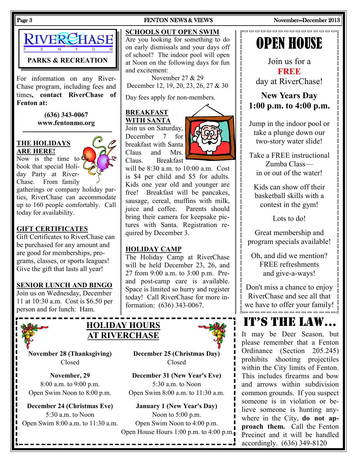

For information on any River-Chase program, including fees and times, contact RiverChase of Fenton at:

> (636) 343-0067 www.fentonmo.org

#### THE HOLIDAYS ARE HERE!

Now is the time to  $\epsilon$ book that special Holiday Party at River-Chase. From family

gatherings or company holiday parties, RiverChase can accommodate up to 160 people comfortably. Call today for availability.

#### GIFT CERTIFICATES

Gift Certificates to RiverChase can be purchased for any amount and are good for memberships, programs, classes, or sports leagues! Give the gift that lasts all year!

#### SENIOR LUNCH AND BINGO

Join us on Wednesday, December 11 at 10:30 a.m. Cost is \$6.50 per person and for lunch: Ham.





Open Swim 8:00 a.m. to 11:30 a.m. Open Swim Noon to 4:00 p.m.

#### Page 3 FENTON NEWS & VIEWS November—December 2013

#### SCHOOLS OUT OPEN SWIM

Are you looking for something to do on early dismissals and your days off of school? The indoor pool will open at Noon on the following days for fun and excitement:

November 27 & 29 December 12, 19, 20, 23, 26, 27 & 30

Day fees apply for non-members.

#### BREAKFAST WITH SANTA

Join us on Saturday, December 7 for breakfast with Santa Claus and Mrs. Claus. Breakfast



will be 8:30 a.m. to 10:00 a.m. Cost is \$4 per child and \$5 for adults. Kids one year old and younger are free! Breakfast will be pancakes, sausage, cereal, muffins with milk, juice and coffee. Parents should bring their camera for keepsake pictures with Santa. Registration required by December 3.

#### HOLIDAY CAMP

The Holiday Camp at RiverChase will be held December 23, 26, and 27 from 9:00 a.m. to 3:00 p.m. Preand post-camp care is available. Space is limited so hurry and register today! Call RiverChase for more information: (636) 343-0067.



November 28 (Thanksgiving) December 25 (Christmas Day) Closed Closed

November, 29 December 31 (New Year's Eve) 8:00 a.m. to 9:00 p.m. 5:30 a.m. to Noon Open Swim Noon to 8:00 p.m. Open Swim 8:00 a.m. to 11:30 a.m.

December 24 (Christmas Eve) January 1 (New Year's Day) 5:30 a.m. to Noon Noon Noon to 5:00 p.m. Open House Hours 1:00 p.m. to 4:00 p.m.

 $\mathsf{r}$ 

П

 $\overline{\mathbb{I}}$ 

П

 $\mathsf{r}$ 

 $\overline{\mathbb{I}}$ 

 $\mathsf{r}$ 

 $\mathbb I$ 

П

 $[] \centering \includegraphics[width=0.47\textwidth]{images/TransY_1.png} \caption{The first two different values of $100$ K, $100$ K, $100$ K, $100$ K, $100$ K, $100$ K, $100$ K, $100$ K, $100$ K, $100$ K, $100$ K, $100$ K, $100$ K, $100$ K, $100$ K, $100$ K, $100$ K, $100$ K, $100$ K, $100$ K, $100$ K, $100$ K, $100$ K, $100$ K, $100$ K, $100$ K, $10$ 

П



 $[] \centering \includegraphics[width=0.47\textwidth]{images/TrDiS-Architecture.png} \caption{The 3D (top) and 3D (bottom) are shown in the left and right.} \label{TrDiS-Architecture}$ 

 $\mathbb{I}$ 

 $\begin{bmatrix} 1 \\ 2 \end{bmatrix}$  $\mathbb{I}$  $\mathbb{I}$  $\mathbb{I}$  $\begin{bmatrix} 1 \\ 2 \end{bmatrix}$ 

 $\mathbb I$ 

 $\overline{\mathbb{R}}$ 

 $\mathbb{I}$  $[] \centering \includegraphics[width=0.47\textwidth]{images/TrDiS-Architecture.png} \caption{The first two different values of $S$ and $S$ is the same as in Figure \ref{fig:10}. It is the same as in Figure \ref{fig:10}. It is the same as in Figure \ref{fig:10}. It is the same as inFigure \ref{fig:10}. It is the same as inFigure \ref{fig:10}. It is the same as inFigure \ref{fig:10}. It is the same as inFigure \ref{fig:10}. It is the same as inFigure \ref{fig:10}. It is the same as inFigure \ref{fig:10}. It is the same as inFigure \ref{fig:10}. It is the same as inFigure \ref{fig:10}. It is the same as inFigure \ref{fig:$  $\sqrt{ }$ 

 $\mathbb{I}$  $\begin{array}{c} \end{array}$  $\overline{\mathbb{I}}$  $\overline{\mathbb{I}}$ Ŏ  $\overline{\mathsf{I}}$ O Ū  $\sqrt{ }$  $\sqrt{ }$  $\mathbb I$  $\mathbb{I}$ 

 $\hfill\Box$ 

Ŏ  $\mathbb{I}$  $\begin{bmatrix} 1 \\ 2 \end{bmatrix}$  $\overline{\mathbb{R}}$ 

 $\hfill\Box$ 

 $\mathbb I$  $\mathbb{I}$  $\mathbb{I}$  $\overline{\mathbb{I}}$  $\begin{bmatrix} 1 \\ 2 \end{bmatrix}$ 

 $\sqrt{ }$  $\sqrt{ }$  $\sqrt{ }$  $\mathbb{I}$  $\mathbb{I}$  $\begin{bmatrix} 1 \\ 2 \end{bmatrix}$  $\mathsf{r}$ Π П П. D

Join us for a **FREE** day at RiverChase!

New Years Day 1:00 p.m. to 4:00 p.m.

Jump in the indoor pool or take a plunge down our two-story water slide!

Take a FREE instructional Zumba Class in or out of the water!

Kids can show off their basketball skills with a contest in the gym!

Lots to do!

Great membership and program specials available!

Oh, and did we mention? FREE refreshments and give-a-ways!

Don't miss a chance to enjoy RiverChase and see all that  $\int_{0}^{1}$  we have to offer your family!  $\int_{0}^{1}$ 

## IT'S THE LAW…

It may be Deer Season, but please remember that a Fenton Ordinance (Section 205.245) prohibits shooting projectiles within the City limits of Fenton. This includes firearms and bow and arrows within subdivision common grounds. If you suspect someone is in violation or believe someone is hunting anywhere in the City, do not approach them. Call the Fenton Precinct and it will be handled accordingly. (636) 349-8120

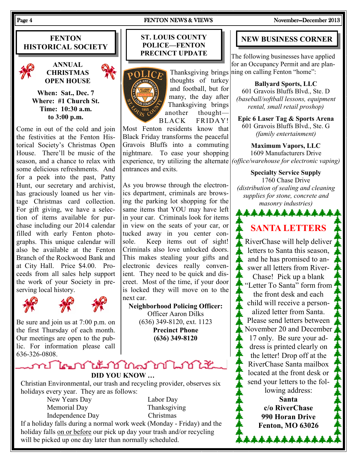#### Page 4 FENTON NEWS & VIEWS November—December 2013

**FENTON** HISTORICAL SOCIETY





When: Sat., Dec. 7 Where: #1 Church St. Time: 10:30 a.m. to 3:00 p.m.

Come in out of the cold and join the festivities at the Fenton Historical Society's Christmas Open House. There'll be music of the season, and a chance to relax with some delicious refreshments. And for a peek into the past, Patty Hunt, our secretary and archivist, has graciously loaned us her vintage Christmas card collection. For gift giving, we have a selection of items available for purchase including our 2014 calendar filled with early Fenton photographs. This unique calendar will also be available at the Fenton Branch of the Rockwood Bank and at City Hall. Price \$4.00. Proceeds from all sales help support the work of your Society in preserving local history.





Be sure and join us at 7:00 p.m. on the first Thursday of each month. Our meetings are open to the public. For information please call 636-326-0808.

#### ST. LOUIS COUNTY POLICE—FENTON PRECINCT UPDATE



thoughts of turkey and football, but for many, the day after Thanksgiving brings another thought— BLACK FRIDAY!

experience, try utilizing the alternate  $(office/warehouse for electronic vaping)$ Most Fenton residents know that Black Friday transforms the peaceful Gravois Bluffs into a commuting nightmare. To ease your shopping entrances and exits.

As you browse through the electronics department, criminals are browsing the parking lot shopping for the same items that YOU may have left in your car. Criminals look for items in view on the seats of your car, or tucked away in you center console. Keep items out of sight! Criminals also love unlocked doors. This makes stealing your gifts and electronic devices really convenient. They need to be quick and discreet. Most of the time, if your door is locked they will move on to the next car.

Neighborhood Policing Officer: Officer Aaron Dilks (636) 349-8120, ext. 1123 Precinct Phone (636) 349-8120

#### mi **Teni tiki** Manjuri Litik DID YOU KNOW …

Christian Environmental, our trash and recycling provider, observes six holidays every year. They are as follows:

 New Years Day Labor Day Memorial Day Thanksgiving Independence Day Christmas

If a holiday falls during a normal work week (Monday - Friday) and the holiday falls on or before our pick up day your trash and/or recycling will be picked up one day later than normally scheduled.

#### NEW BUSINESS CORNER

The following businesses have applied for an Occupancy Permit and are plan-Thanksgiving brings ning on calling Fenton "home":

> Ballyard Sports, LLC 601 Gravois Bluffs Blvd., Ste. D (baseball/softball lessons, equipment rental, small retail proshop)

Epic 6 Laser Tag & Sports Arena 601 Gravois Bluffs Blvd., Ste. G (family entertainment)

Maximum Vapors, LLC 1609 Manufacturers Drive

Specialty Service Supply 1760 Chase Drive (distribution of sealing and cleaning supplies for stone, concrete and masonry industries)

SANTA LETTERS

\*\*\*\*\*\*\*\*\*\*\*

RiverChase will help deliver letters to Santa this season, and he has promised to answer all letters from River-Chase! Pick up a blank "Letter To Santa" form from the front desk and each child will receive a personalized letter from Santa. Please send letters between November 20 and December 17 only. Be sure your address is printed clearly on the letter! Drop off at the RiverChase Santa mailbox located at the front desk or send your letters to the following address: Santa c/o RiverChase

990 Horan Drive Fenton, MO 63026

\*\*\*\*\*\*\*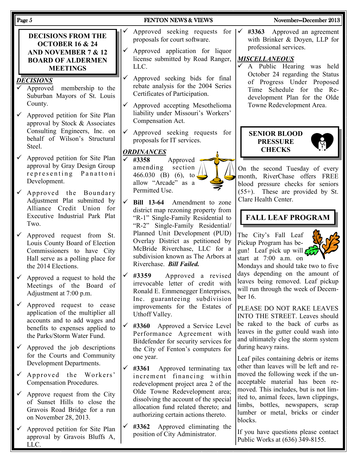| Page 5                                                                                                                                                                            | <b>FENTON NEWS &amp; VIEWS</b>                                                                                                                                                                     | November-December 2013                                                                                                                                                          |  |
|-----------------------------------------------------------------------------------------------------------------------------------------------------------------------------------|----------------------------------------------------------------------------------------------------------------------------------------------------------------------------------------------------|---------------------------------------------------------------------------------------------------------------------------------------------------------------------------------|--|
| <b>DECISIONS FROM THE</b><br><b>OCTOBER 16 &amp; 24</b><br><b>AND NOVEMBER 7 &amp; 12</b><br><b>BOARD OF ALDERMEN</b><br><b>MEETINGS</b>                                          | Approved seeking requests for<br>proposals for court software.<br>Approved application for liquor<br>license submitted by Road Ranger,<br>LLC.                                                     | #3363 Approved an agreement<br>$\checkmark$<br>with Brinker & Doyen, LLP for<br>professional services.<br><b>MISCELLANEOUS</b><br>$\checkmark$<br>A Public Hearing was held     |  |
| <b>DECISIONS</b><br>$\checkmark$ Approved<br>membership to the<br>Suburban Mayors of St. Louis<br>County.<br>Approved petition for Site Plan<br>$\checkmark$                      | Approved seeking bids for final<br>rebate analysis for the 2004 Series<br>Certificates of Participation.<br>$\checkmark$<br>Approved accepting Mesothelioma<br>liability under Missouri's Workers' | October 24 regarding the Status<br>of Progress Under Proposed<br>Time Schedule for the Re-<br>development Plan for the Olde<br>Towne Redevelopment Area.                        |  |
| approval by Stock & Associates<br>Consulting Engineers, Inc. on<br>behalf of Wilson's Structural<br>Steel.                                                                        | Compensation Act.<br>$\checkmark$<br>Approved seeking requests for<br>proposals for IT services.<br><b>ORDINANCES</b>                                                                              | <b>SENIOR BLOOD</b><br><b>PRESSURE</b><br><b>CHECKS</b>                                                                                                                         |  |
| Approved petition for Site Plan<br>approval by Gray Design Group<br>representing Panattoni<br>Development.<br>Approved the Boundary                                               | $\times$ #3358<br>Approved<br>section<br>amending<br>466.030 (B) (6), to<br>allow "Arcade" as a<br>Permitted Use.                                                                                  | On the second Tuesday of every<br>month, RiverChase offers FREE<br>blood pressure checks for seniors<br>(55+). These are provided by St.                                        |  |
| Adjustment Plat submitted by<br>Alliance Credit Union for<br>Executive Industrial Park Plat<br>Two.                                                                               | $\checkmark$<br>Bill 13-64 Amendment to zone<br>district map rezoning property from<br>"R-1" Single-Family Residential to<br>"R-2" Single-Family Residential/                                      | Clare Health Center.<br><b>FALL LEAF PROGRAM</b>                                                                                                                                |  |
| Approved request from St.<br>Louis County Board of Election<br>Commissioners to have City<br>Hall serve as a polling place for<br>the 2014 Elections.                             | Planned Unit Development (PUD)<br>Overlay District as petitioned by<br>McBride Riverchase, LLC for a<br>subdivision known as The Arbors at<br>Riverchase. Bill Failed.                             | The City's Fall Leaf<br>Pickup Program has be-<br>gun! Leaf pick up will<br>start at $7:00$ a.m. on<br>Mondays and should take two to five                                      |  |
| $\checkmark$ Approved a request to hold the<br>Meetings of the Board of<br>Adjustment at 7:00 p.m.                                                                                | #3359<br>Approved a revised<br>$\vert\checkmark\vert$<br>irrevocable letter of credit with<br>Ronald E. Emmenegger Enterprises,<br>Inc. guaranteeing subdivision                                   | days depending on the amount of<br>leaves being removed. Leaf pickup<br>will run through the week of Decem-<br>ber 16.                                                          |  |
| Approved request to cease<br>$\checkmark$<br>application of the multiplier all<br>accounts and to add wages and<br>benefits to expenses applied to<br>the Parks/Storm Water Fund. | improvements for the Estates of<br>Uthoff Valley.<br>$\checkmark$<br>#3360 Approved a Service Level<br>Performance Agreement with<br>Bitdefender for security services for                         | PLEASE DO NOT RAKE LEAVES<br>INTO THE STREET. Leaves should<br>be raked to the back of curbs as<br>leaves in the gutter could wash into<br>and ultimately clog the storm system |  |
| Approved the job descriptions<br>for the Courts and Community<br>Development Departments.                                                                                         | the City of Fenton's computers for<br>one year.<br>$\checkmark$<br>#3361<br>Approved terminating tax                                                                                               | during heavy rains.<br>Leaf piles containing debris or items<br>other than leaves will be left and re-                                                                          |  |
| Approved the Workers'<br>Compensation Procedures.                                                                                                                                 | increment financing within<br>redevelopment project area 2 of the<br>Olde Towne Redevelopment area;                                                                                                | moved the following week if the un-<br>acceptable material has been re-<br>moved. This includes, but is not lim-                                                                |  |
| Approve request from the City<br>of Sunset Hills to close the<br>Gravois Road Bridge for a run<br>on November 28, 2013.                                                           | dissolving the account of the special<br>allocation fund related thereto; and<br>authorizing certain actions thereto.                                                                              | ited to, animal feces, lawn clippings,<br>limbs, bottles, newspapers, scrap<br>lumber or metal, bricks or cinder<br>blocks.                                                     |  |
| Approved petition for Site Plan<br>approval by Gravois Bluffs A,<br>LLC.                                                                                                          | Approved eliminating the<br>$\sqrt{43362}$<br>position of City Administrator.                                                                                                                      | If you have questions please contact<br>Public Works at (636) 349-8155.                                                                                                         |  |
|                                                                                                                                                                                   |                                                                                                                                                                                                    |                                                                                                                                                                                 |  |
|                                                                                                                                                                                   |                                                                                                                                                                                                    |                                                                                                                                                                                 |  |